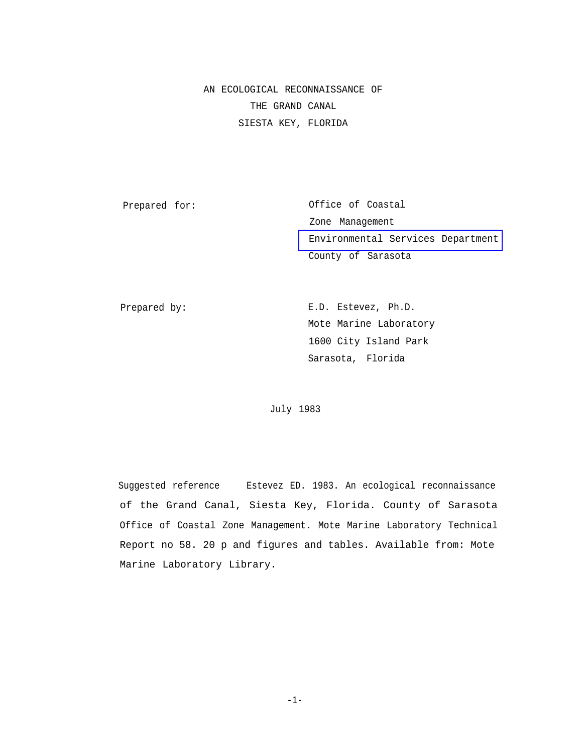AN ECOLOGICAL RECONNAISSANCE OF THE GRAND CANAL SIESTA KEY, FLORIDA

Prepared for:

Office of Coastal Zone Management [Environmental Services Department](http://www.co.sarasota.fl.us/environmental_services/default.asp) County of Sarasota

Prepared by:

E.D. Estevez, Ph.D. Mote Marine Laboratory 1600 City Island Park Sarasota, Florida

July 1983

Suggested reference Estevez ED. 1983. An ecological reconnaissance of the Grand Canal, Siesta Key, Florida. County of Sarasota Office of Coastal Zone Management. Mote Marine Laboratory Technical Report no 58. 20 p and figures and tables. Available from: Mote Marine Laboratory Library.

-1-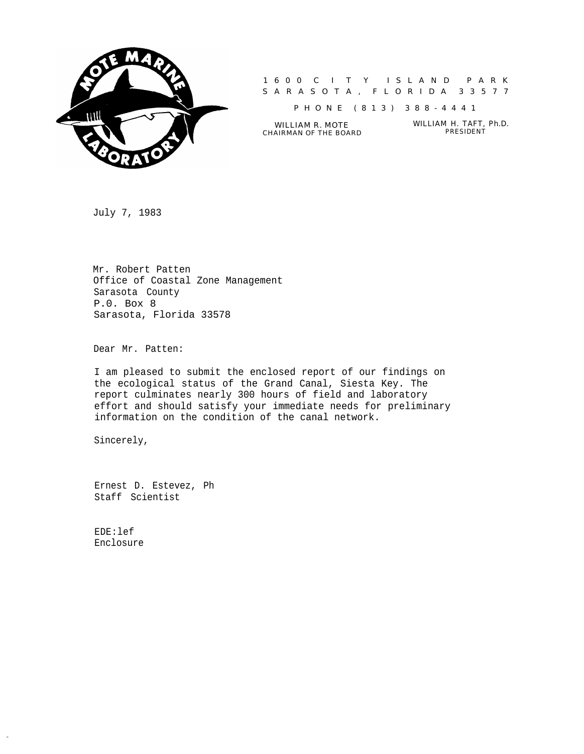

1600 C I T Y ISLAND PARK SARASOTA, FLORIDA 33577

PHONE (813) 388-4441

CHAIRMAN OF THE BOARD

WILLIAM R. MOTE<br>AIRMAN OF THE BOARD PRESIDENT

July 7, 1983

Mr. Robert Patten Office of Coastal Zone Management Sarasota County P.0. Box 8 Sarasota, Florida 33578

Dear Mr. Patten:

I am pleased to submit the enclosed report of our findings on the ecological status of the Grand Canal, Siesta Key. The report culminates nearly 300 hours of field and laboratory effort and should satisfy your immediate needs for preliminary information on the condition of the canal network.

Sincerely,

Ernest D. Estevez, Ph Staff Scientist

EDE:lef Enclosure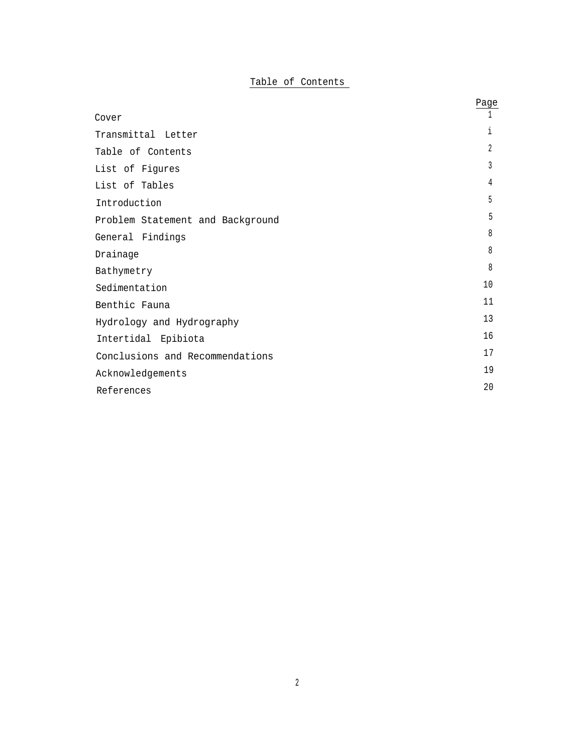# Table of Contents

|                                  | Page |
|----------------------------------|------|
| Cover                            |      |
| Transmittal Letter               | i.   |
| Table of Contents                | 2    |
| List of Figures                  | 3    |
| List of Tables                   | 4    |
| Introduction                     | 5    |
| Problem Statement and Background | 5    |
| General Findings                 | 8    |
| Drainage                         | 8    |
| Bathymetry                       | 8    |
| Sedimentation                    | 10   |
| Benthic Fauna                    | 11   |
| Hydrology and Hydrography        | 13   |
| Intertidal Epibiota              | 16   |
| Conclusions and Recommendations  | 17   |
| Acknowledgements                 | 19   |
| References                       | 20   |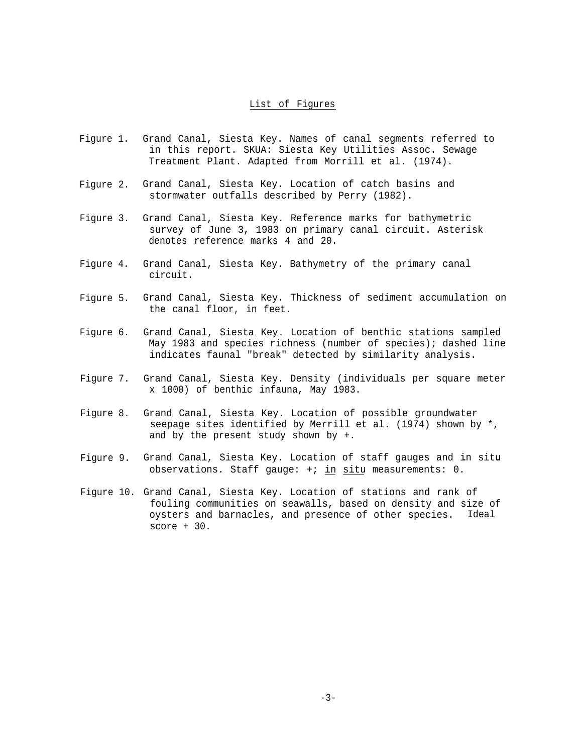## List of Figures

- Figure 1. Grand Canal, Siesta Key. Names of canal segments referred to in this report. SKUA: Siesta Key Utilities Assoc. Sewage Treatment Plant. Adapted from Morrill et al. (1974).
- Figure 2. Grand Canal, Siesta Key. Location of catch basins and stormwater outfalls described by Perry (1982).
- Figure 3. Grand Canal, Siesta Key. Reference marks for bathymetric survey of June 3, 1983 on primary canal circuit. Asterisk denotes reference marks 4 and 20.
- Figure 4. Grand Canal, Siesta Key. Bathymetry of the primary canal circuit.
- Figure 5. Grand Canal, Siesta Key. Thickness of sediment accumulation on the canal floor, in feet.
- Figure 6. Grand Canal, Siesta Key. Location of benthic stations sampled May 1983 and species richness (number of species); dashed line indicates faunal "break" detected by similarity analysis.
- Figure 7. Grand Canal, Siesta Key. Density (individuals per square meter x 1000) of benthic infauna, May 1983.
- Figure 8. Grand Canal, Siesta Key. Location of possible groundwater seepage sites identified by Merrill et al. (1974) shown by \*, and by the present study shown by +.
- Figure 9. Grand Canal, Siesta Key. Location of staff gauges and in situ observations. Staff gauge: +; in situ measurements: 0.
- Figure 10. Grand Canal, Siesta Key. Location of stations and rank of fouling communities on seawalls, based on density and size of oysters and barnacles, and presence of other species. Ideal score + 30.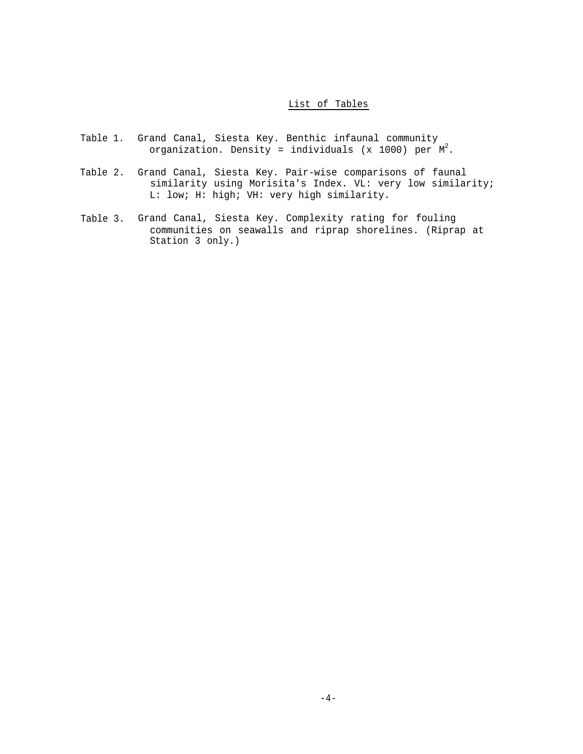## List of Tables

- Table 1. Grand Canal, Siesta Key. Benthic infaunal community organization. Density = individuals (x 1000) per  $M^2$ .
- Table 2. Grand Canal, Siesta Key. Pair-wise comparisons of faunal similarity using Morisita's Index. VL: very low similarity; L: low; H: high; VH: very high similarity.
- Table 3. Grand Canal, Siesta Key. Complexity rating for fouling communities on seawalls and riprap shorelines. (Riprap at Station 3 only.)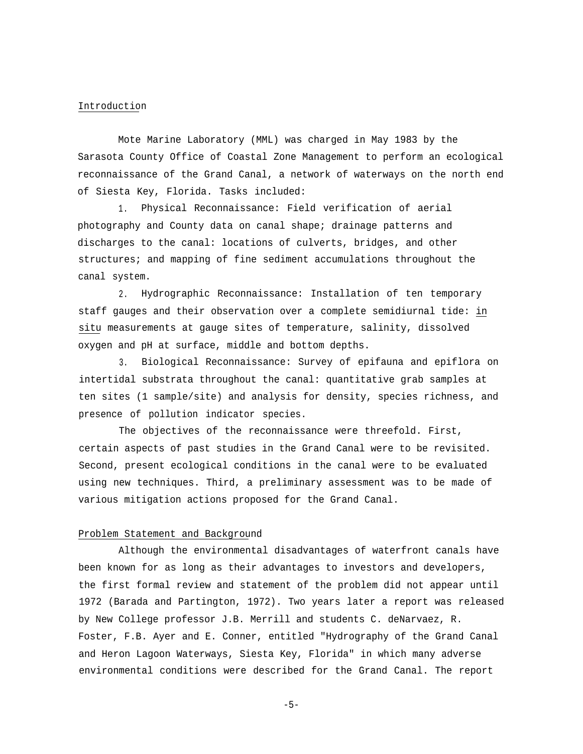#### Introduction

Mote Marine Laboratory (MML) was charged in May 1983 by the Sarasota County Office of Coastal Zone Management to perform an ecological reconnaissance of the Grand Canal, a network of waterways on the north end of Siesta Key, Florida. Tasks included:

1. Physical Reconnaissance: Field verification of aerial photography and County data on canal shape; drainage patterns and discharges to the canal: locations of culverts, bridges, and other structures; and mapping of fine sediment accumulations throughout the canal system.

2. Hydrographic Reconnaissance: Installation of ten temporary staff gauges and their observation over a complete semidiurnal tide: in situ measurements at gauge sites of temperature, salinity, dissolved oxygen and pH at surface, middle and bottom depths.

3. Biological Reconnaissance: Survey of epifauna and epiflora on intertidal substrata throughout the canal: quantitative grab samples at ten sites (1 sample/site) and analysis for density, species richness, and presence of pollution indicator species.

The objectives of the reconnaissance were threefold. First, certain aspects of past studies in the Grand Canal were to be revisited. Second, present ecological conditions in the canal were to be evaluated using new techniques. Third, a preliminary assessment was to be made of various mitigation actions proposed for the Grand Canal.

#### Problem Statement and Background

Although the environmental disadvantages of waterfront canals have been known for as long as their advantages to investors and developers, the first formal review and statement of the problem did not appear until 1972 (Barada and Partington, 1972). Two years later a report was released by New College professor J.B. Merrill and students C. deNarvaez, R. Foster, F.B. Ayer and E. Conner, entitled "Hydrography of the Grand Canal and Heron Lagoon Waterways, Siesta Key, Florida" in which many adverse environmental conditions were described for the Grand Canal. The report

-5-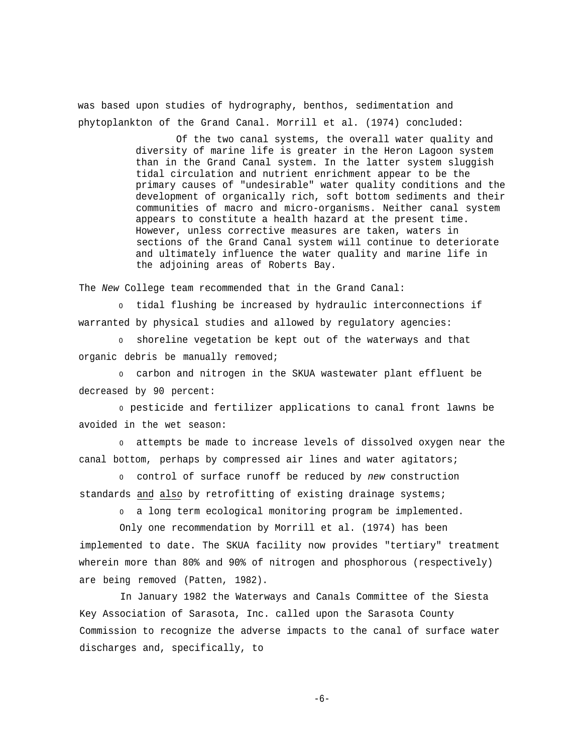was based upon studies of hydrography, benthos, sedimentation and phytoplankton of the Grand Canal. Morrill et al. (1974) concluded:

> Of the two canal systems, the overall water quality and diversity of marine life is greater in the Heron Lagoon system than in the Grand Canal system. In the latter system sluggish tidal circulation and nutrient enrichment appear to be the primary causes of "undesirable" water quality conditions and the development of organically rich, soft bottom sediments and their communities of macro and micro-organisms. Neither canal system appears to constitute a health hazard at the present time. However, unless corrective measures are taken, waters in sections of the Grand Canal system will continue to deteriorate and ultimately influence the water quality and marine life in the adjoining areas of Roberts Bay.

The *New* College team recommended that in the Grand Canal:

<sup>0</sup> tidal flushing be increased by hydraulic interconnections if warranted by physical studies and allowed by regulatory agencies:

<sup>0</sup> shoreline vegetation be kept out of the waterways and that organic debris be manually removed;

<sup>0</sup> carbon and nitrogen in the SKUA wastewater plant effluent be decreased by 90 percent:

<sup>0</sup>pesticide and fertilizer applications to canal front lawns be avoided in the wet season:

<sup>0</sup> attempts be made to increase levels of dissolved oxygen near the canal bottom, perhaps by compressed air lines and water agitators;

<sup>0</sup> control of surface runoff be reduced by *new* construction standards and also by retrofitting of existing drainage systems;

<sup>0</sup> a long term ecological monitoring program be implemented.

Only one recommendation by Morrill et al. (1974) has been implemented to date. The SKUA facility now provides "tertiary" treatment wherein more than 80% and 90% of nitrogen and phosphorous (respectively) are being removed (Patten, 1982).

In January 1982 the Waterways and Canals Committee of the Siesta Key Association of Sarasota, Inc. called upon the Sarasota County Commission to recognize the adverse impacts to the canal of surface water discharges and, specifically, to

-6-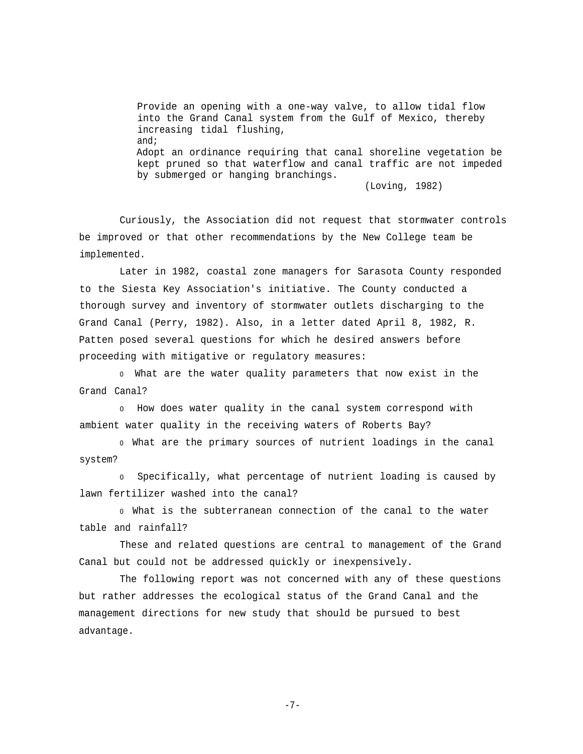Provide an opening with a one-way valve, to allow tidal flow into the Grand Canal system from the Gulf of Mexico, thereby increasing tidal flushing, and; Adopt an ordinance requiring that canal shoreline vegetation be kept pruned so that waterflow and canal traffic are not impeded by submerged or hanging branchings.

(Loving, 1982)

Curiously, the Association did not request that stormwater controls be improved or that other recommendations by the New College team be implemented.

Later in 1982, coastal zone managers for Sarasota County responded to the Siesta Key Association's initiative. The County conducted a thorough survey and inventory of stormwater outlets discharging to the Grand Canal (Perry, 1982). Also, in a letter dated April 8, 1982, R. Patten posed several questions for which he desired answers before proceeding with mitigative or regulatory measures:

<sup>0</sup>What are the water quality parameters that now exist in the Grand Canal?

<sup>0</sup> How does water quality in the canal system correspond with ambient water quality in the receiving waters of Roberts Bay?

<sup>0</sup>What are the primary sources of nutrient loadings in the canal system?

<sup>0</sup> Specifically, what percentage of nutrient loading is caused by lawn fertilizer washed into the canal?

<sup>0</sup>What is the subterranean connection of the canal to the water table and rainfall?

These and related questions are central to management of the Grand Canal but could not be addressed quickly or inexpensively.

The following report was not concerned with any of these questions but rather addresses the ecological status of the Grand Canal and the management directions for new study that should be pursued to best advantage.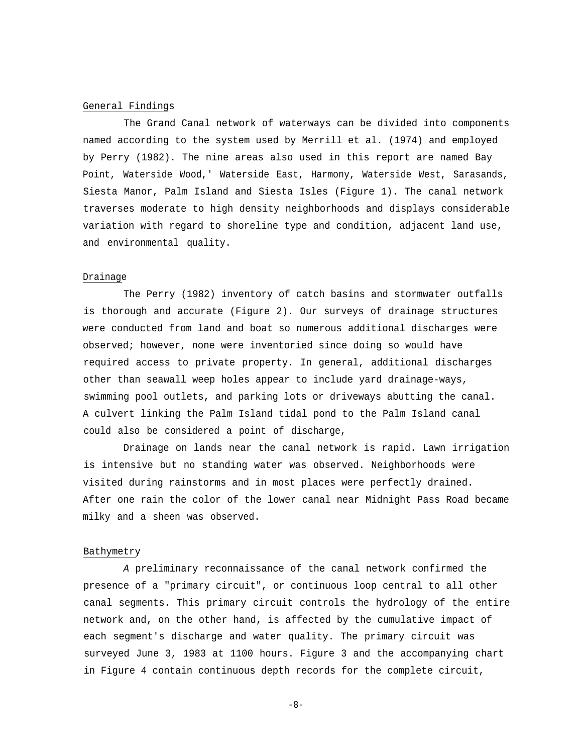#### General Findings

The Grand Canal network of waterways can be divided into components named according to the system used by Merrill et al. (1974) and employed by Perry (1982). The nine areas also used in this report are named Bay Point, Waterside Wood,' Waterside East, Harmony, Waterside West, Sarasands, Siesta Manor, Palm Island and Siesta Isles (Figure 1). The canal network traverses moderate to high density neighborhoods and displays considerable variation with regard to shoreline type and condition, adjacent land use, and environmental quality.

#### Drainage

The Perry (1982) inventory of catch basins and stormwater outfalls is thorough and accurate (Figure 2). Our surveys of drainage structures were conducted from land and boat so numerous additional discharges were observed; however, none were inventoried since doing so would have required access to private property. In general, additional discharges other than seawall weep holes appear to include yard drainage-ways, swimming pool outlets, and parking lots or driveways abutting the canal. A culvert linking the Palm Island tidal pond to the Palm Island canal could also be considered a point of discharge,

Drainage on lands near the canal network is rapid. Lawn irrigation is intensive but no standing water was observed. Neighborhoods were visited during rainstorms and in most places were perfectly drained. After one rain the color of the lower canal near Midnight Pass Road became milky and a sheen was observed.

#### Bathymetry

*A* preliminary reconnaissance of the canal network confirmed the presence of a "primary circuit", or continuous loop central to all other canal segments. This primary circuit controls the hydrology of the entire network and, on the other hand, is affected by the cumulative impact of each segment's discharge and water quality. The primary circuit was surveyed June 3, 1983 at 1100 hours. Figure 3 and the accompanying chart in Figure 4 contain continuous depth records for the complete circuit,

-8-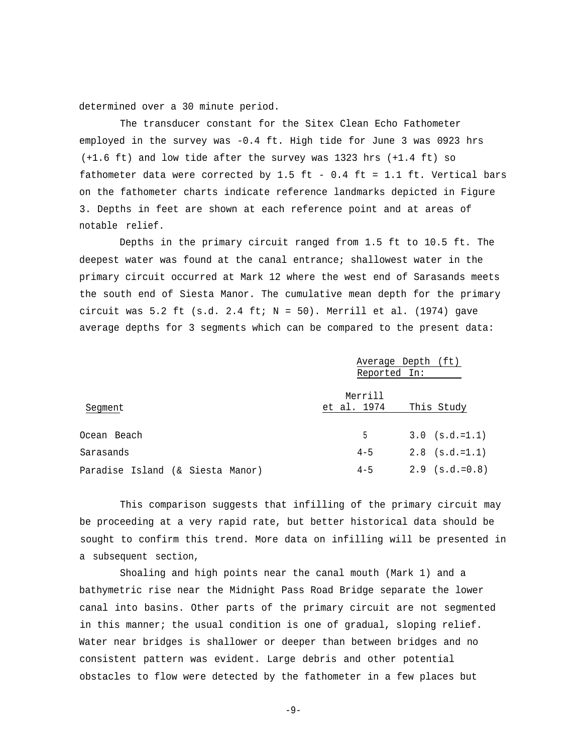determined over a 30 minute period.

The transducer constant for the Sitex Clean Echo Fathometer employed in the survey was -0.4 ft. High tide for June 3 was 0923 hrs (+1.6 ft) and low tide after the survey was 1323 hrs (+1.4 ft) so fathometer data were corrected by 1.5 ft - 0.4 ft = 1.1 ft. Vertical bars on the fathometer charts indicate reference landmarks depicted in Figure 3. Depths in feet are shown at each reference point and at areas of notable relief.

Depths in the primary circuit ranged from 1.5 ft to 10.5 ft. The deepest water was found at the canal entrance; shallowest water in the primary circuit occurred at Mark 12 where the west end of Sarasands meets the south end of Siesta Manor. The cumulative mean depth for the primary circuit was 5.2 ft (s.d. 2.4 ft;  $N = 50$ ). Merrill et al. (1974) gave average depths for 3 segments which can be compared to the present data:

|             | Average Depth (ft) |
|-------------|--------------------|
|             |                    |
| Merrill     |                    |
| et al. 1974 | This Study         |
| 5           | $3.0$ (s.d.=1.1)   |
| $4 - 5$     | $2.8$ (s.d.=1.1)   |
| $4 - 5$     | $2.9$ (s.d.=0.8)   |
|             | Reported In:       |

This comparison suggests that infilling of the primary circuit may be proceeding at a very rapid rate, but better historical data should be sought to confirm this trend. More data on infilling will be presented in a subsequent section,

Shoaling and high points near the canal mouth (Mark 1) and a bathymetric rise near the Midnight Pass Road Bridge separate the lower canal into basins. Other parts of the primary circuit are not segmented in this manner; the usual condition is one of gradual, sloping relief. Water near bridges is shallower or deeper than between bridges and no consistent pattern was evident. Large debris and other potential obstacles to flow were detected by the fathometer in a few places but

-9-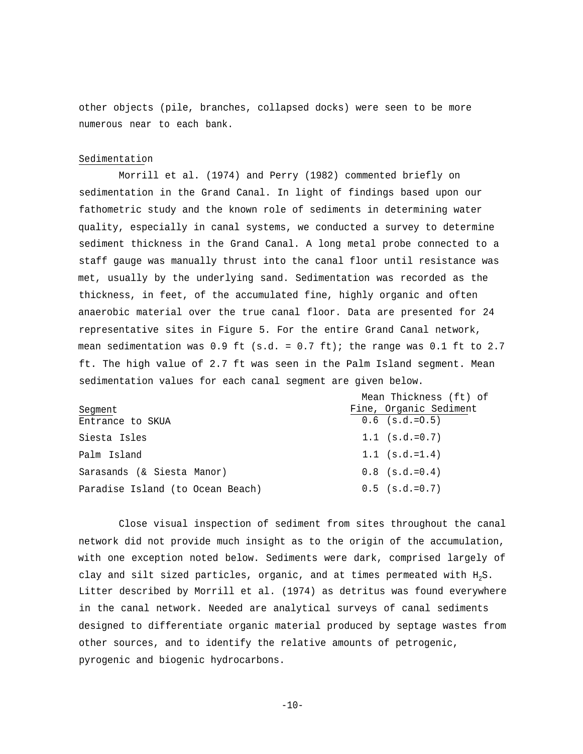other objects (pile, branches, collapsed docks) were seen to be more numerous near to each bank.

#### Sedimentation

Morrill et al. (1974) and Perry (1982) commented briefly on sedimentation in the Grand Canal. In light of findings based upon our fathometric study and the known role of sediments in determining water quality, especially in canal systems, we conducted a survey to determine sediment thickness in the Grand Canal. A long metal probe connected to a staff gauge was manually thrust into the canal floor until resistance was met, usually by the underlying sand. Sedimentation was recorded as the thickness, in feet, of the accumulated fine, highly organic and often anaerobic material over the true canal floor. Data are presented for 24 representative sites in Figure 5. For the entire Grand Canal network, mean sedimentation was  $0.9$  ft (s.d. =  $0.7$  ft); the range was  $0.1$  ft to 2.7 ft. The high value of 2.7 ft was seen in the Palm Island segment. Mean sedimentation values for each canal segment are given below.

|                                  | Mean Thickness (ft) of |
|----------------------------------|------------------------|
| Segment                          | Fine, Organic Sediment |
| Entrance to SKUA                 | $0.6$ (s.d.= $0.5$ )   |
| Siesta Isles                     | $1.1$ (s.d.=0.7)       |
| Palm Island                      | $1.1$ (s.d.=1.4)       |
| Sarasands (& Siesta Manor)       | $0.8$ (s.d.= $0.4$ )   |
| Paradise Island (to Ocean Beach) | $0.5$ (s.d.=0.7)       |

Close visual inspection of sediment from sites throughout the canal network did not provide much insight as to the origin of the accumulation, with one exception noted below. Sediments were dark, comprised largely of clay and silt sized particles, organic, and at times permeated with  $H_2S$ . Litter described by Morrill et al. (1974) as detritus was found everywhere in the canal network. Needed are analytical surveys of canal sediments designed to differentiate organic material produced by septage wastes from other sources, and to identify the relative amounts of petrogenic, pyrogenic and biogenic hydrocarbons.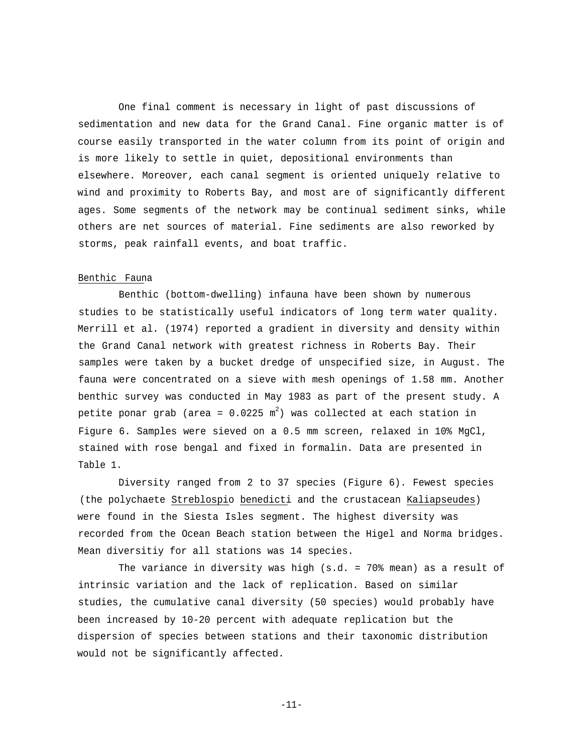One final comment is necessary in light of past discussions of sedimentation and new data for the Grand Canal. Fine organic matter is of course easily transported in the water column from its point of origin and is more likely to settle in quiet, depositional environments than elsewhere. Moreover, each canal segment is oriented uniquely relative to wind and proximity to Roberts Bay, and most are of significantly different ages. Some segments of the network may be continual sediment sinks, while others are net sources of material. Fine sediments are also reworked by storms, peak rainfall events, and boat traffic.

#### Benthic Fauna

Benthic (bottom-dwelling) infauna have been shown by numerous studies to be statistically useful indicators of long term water quality. Merrill et al. (1974) reported a gradient in diversity and density within the Grand Canal network with greatest richness in Roberts Bay. Their samples were taken by a bucket dredge of unspecified size, in August. The fauna were concentrated on a sieve with mesh openings of 1.58 mm. Another benthic survey was conducted in May 1983 as part of the present study. A petite ponar grab (area = 0.0225  $\mathrm{m}^2$ ) was collected at each station in Figure 6. Samples were sieved on a 0.5 mm screen, relaxed in 10% MgCl, stained with rose bengal and fixed in formalin. Data are presented in Table 1.

Diversity ranged from 2 to 37 species (Figure 6). Fewest species (the polychaete Streblospio benedicti and the crustacean Kaliapseudes) were found in the Siesta Isles segment. The highest diversity was recorded from the Ocean Beach station between the Higel and Norma bridges. Mean diversitiy for all stations was 14 species.

The variance in diversity was high (s.d. = 70% mean) as a result of intrinsic variation and the lack of replication. Based on similar studies, the cumulative canal diversity (50 species) would probably have been increased by 10-20 percent with adequate replication but the dispersion of species between stations and their taxonomic distribution would not be significantly affected.

-11-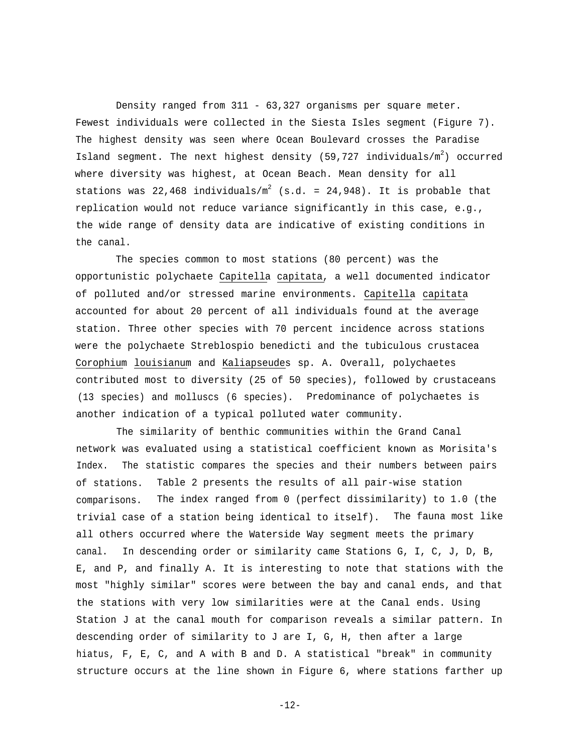Density ranged from 311 - 63,327 organisms per square meter. Fewest individuals were collected in the Siesta Isles segment (Figure 7). The highest density was seen where Ocean Boulevard crosses the Paradise Island segment. The next highest density (59,727 individuals/m<sup>2</sup>) occurred where diversity was highest, at Ocean Beach. Mean density for all stations was 22,468 individuals/ $m^2$  (s.d. = 24,948). It is probable that replication would not reduce variance significantly in this case, e.g., the wide range of density data are indicative of existing conditions in the canal.

The species common to most stations (80 percent) was the opportunistic polychaete Capitella capitata, a well documented indicator of polluted and/or stressed marine environments. Capitella capitata accounted for about 20 percent of all individuals found at the average station. Three other species with 70 percent incidence across stations were the polychaete Streblospio benedicti and the tubiculous crustacea Corophium louisianum and Kaliapseudes sp. A. Overall, polychaetes contributed most to diversity (25 of 50 species), followed by crustaceans (13 species) and molluscs (6 species). Predominance of polychaetes is another indication of a typical polluted water community.

The similarity of benthic communities within the Grand Canal network was evaluated using a statistical coefficient known as Morisita's Index. The statistic compares the species and their numbers between pairs of stations. Table 2 presents the results of all pair-wise station comparisons. The index ranged from 0 (perfect dissimilarity) to 1.0 (the trivial case of a station being identical to itself). The fauna most like all others occurred where the Waterside Way segment meets the primary canal. In descending order or similarity came Stations G, I, C, J, D, B, E, and P, and finally A. It is interesting to note that stations with the most "highly similar" scores were between the bay and canal ends, and that the stations with very low similarities were at the Canal ends. Using Station J at the canal mouth for comparison reveals a similar pattern. In descending order of similarity to J are I, G, H, then after a large hiatus, F, E, C, and A with B and D. A statistical "break" in community structure occurs at the line shown in Figure 6, where stations farther up

-12-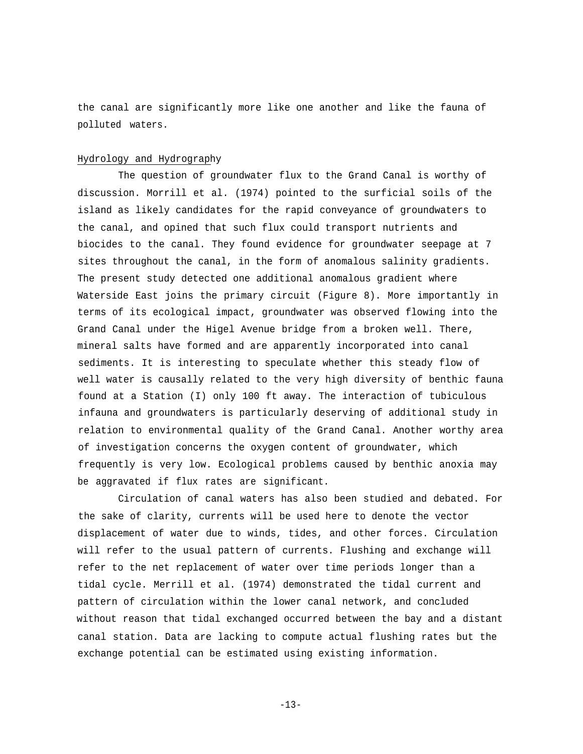the canal are significantly more like one another and like the fauna of polluted waters.

#### Hydrology and Hydrography

The question of groundwater flux to the Grand Canal is worthy of discussion. Morrill et al. (1974) pointed to the surficial soils of the island as likely candidates for the rapid conveyance of groundwaters to the canal, and opined that such flux could transport nutrients and biocides to the canal. They found evidence for groundwater seepage at 7 sites throughout the canal, in the form of anomalous salinity gradients. The present study detected one additional anomalous gradient where Waterside East joins the primary circuit (Figure 8). More importantly in terms of its ecological impact, groundwater was observed flowing into the Grand Canal under the Higel Avenue bridge from a broken well. There, mineral salts have formed and are apparently incorporated into canal sediments. It is interesting to speculate whether this steady flow of well water is causally related to the very high diversity of benthic fauna found at a Station (I) only 100 ft away. The interaction of tubiculous infauna and groundwaters is particularly deserving of additional study in relation to environmental quality of the Grand Canal. Another worthy area of investigation concerns the oxygen content of groundwater, which frequently is very low. Ecological problems caused by benthic anoxia may be aggravated if flux rates are significant.

Circulation of canal waters has also been studied and debated. For the sake of clarity, currents will be used here to denote the vector displacement of water due to winds, tides, and other forces. Circulation will refer to the usual pattern of currents. Flushing and exchange will refer to the net replacement of water over time periods longer than a tidal cycle. Merrill et al. (1974) demonstrated the tidal current and pattern of circulation within the lower canal network, and concluded without reason that tidal exchanged occurred between the bay and a distant canal station. Data are lacking to compute actual flushing rates but the exchange potential can be estimated using existing information.

 $-13-$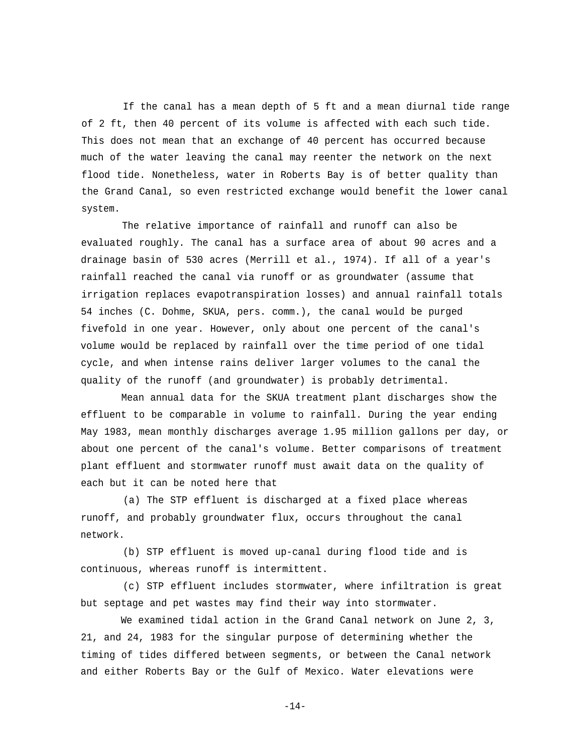If the canal has a mean depth of 5 ft and a mean diurnal tide range of 2 ft, then 40 percent of its volume is affected with each such tide. This does not mean that an exchange of 40 percent has occurred because much of the water leaving the canal may reenter the network on the next flood tide. Nonetheless, water in Roberts Bay is of better quality than the Grand Canal, so even restricted exchange would benefit the lower canal system.

The relative importance of rainfall and runoff can also be evaluated roughly. The canal has a surface area of about 90 acres and a drainage basin of 530 acres (Merrill et al., 1974). If all of a year's rainfall reached the canal via runoff or as groundwater (assume that irrigation replaces evapotranspiration losses) and annual rainfall totals 54 inches (C. Dohme, SKUA, pers. comm.), the canal would be purged fivefold in one year. However, only about one percent of the canal's volume would be replaced by rainfall over the time period of one tidal cycle, and when intense rains deliver larger volumes to the canal the quality of the runoff (and groundwater) is probably detrimental.

Mean annual data for the SKUA treatment plant discharges show the effluent to be comparable in volume to rainfall. During the year ending May 1983, mean monthly discharges average 1.95 million gallons per day, or about one percent of the canal's volume. Better comparisons of treatment plant effluent and stormwater runoff must await data on the quality of each but it can be noted here that

(a) The STP effluent is discharged at a fixed place whereas runoff, and probably groundwater flux, occurs throughout the canal network.

(b) STP effluent is moved up-canal during flood tide and is continuous, whereas runoff is intermittent.

(c) STP effluent includes stormwater, where infiltration is great but septage and pet wastes may find their way into stormwater.

We examined tidal action in the Grand Canal network on June 2, 3, 21, and 24, 1983 for the singular purpose of determining whether the timing of tides differed between segments, or between the Canal network and either Roberts Bay or the Gulf of Mexico. Water elevations were

-14-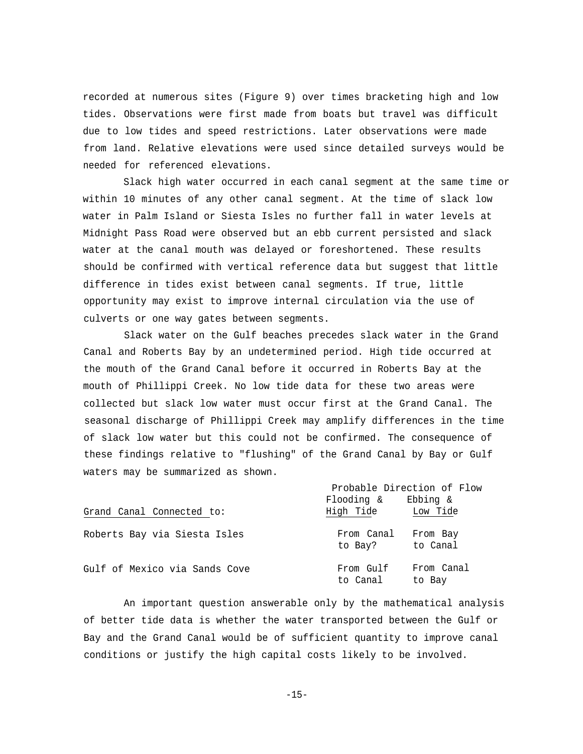recorded at numerous sites (Figure 9) over times bracketing high and low tides. Observations were first made from boats but travel was difficult due to low tides and speed restrictions. Later observations were made from land. Relative elevations were used since detailed surveys would be needed for referenced elevations.

Slack high water occurred in each canal segment at the same time or within 10 minutes of any other canal segment. At the time of slack low water in Palm Island or Siesta Isles no further fall in water levels at Midnight Pass Road were observed but an ebb current persisted and slack water at the canal mouth was delayed or foreshortened. These results should be confirmed with vertical reference data but suggest that little difference in tides exist between canal segments. If true, little opportunity may exist to improve internal circulation via the use of culverts or one way gates between segments.

Slack water on the Gulf beaches precedes slack water in the Grand Canal and Roberts Bay by an undetermined period. High tide occurred at the mouth of the Grand Canal before it occurred in Roberts Bay at the mouth of Phillippi Creek. No low tide data for these two areas were collected but slack low water must occur first at the Grand Canal. The seasonal discharge of Phillippi Creek may amplify differences in the time of slack low water but this could not be confirmed. The consequence of these findings relative to "flushing" of the Grand Canal by Bay or Gulf waters may be summarized as shown.

|                               | Probable Direction of Flow |                      |
|-------------------------------|----------------------------|----------------------|
|                               | Flooding &                 | Ebbing &             |
| Grand Canal Connected to:     | High Tide                  | Low Tide             |
| Roberts Bay via Siesta Isles  | From Canal<br>to Bay?      | From Bay<br>to Canal |
| Gulf of Mexico via Sands Cove | From Gulf<br>to Canal      | From Canal<br>to Bay |

An important question answerable only by the mathematical analysis of better tide data is whether the water transported between the Gulf or Bay and the Grand Canal would be of sufficient quantity to improve canal conditions or justify the high capital costs likely to be involved.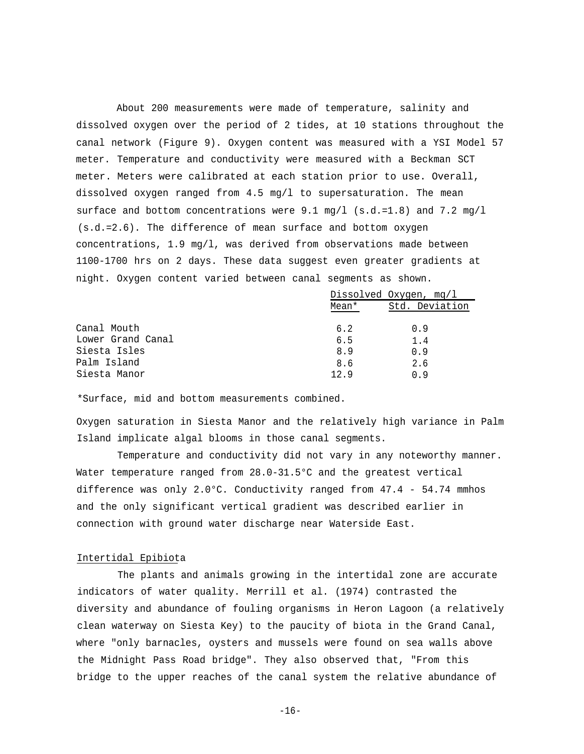About 200 measurements were made of temperature, salinity and dissolved oxygen over the period of 2 tides, at 10 stations throughout the canal network (Figure 9). Oxygen content was measured with a YSI Model 57 meter. Temperature and conductivity were measured with a Beckman SCT meter. Meters were calibrated at each station prior to use. Overall, dissolved oxygen ranged from 4.5 mg/l to supersaturation. The mean surface and bottom concentrations were  $9.1 \text{ mg/l}$  (s.d.=1.8) and 7.2 mg/l (s.d.=2.6). The difference of mean surface and bottom oxygen concentrations, 1.9 mg/l, was derived from observations made between 1100-1700 hrs on 2 days. These data suggest even greater gradients at night. Oxygen content varied between canal segments as shown.

|                   |       | Dissolved Oxygen, mg/l |
|-------------------|-------|------------------------|
|                   | Mean* | Std. Deviation         |
| Canal Mouth       | 6.2   | 0.9                    |
| Lower Grand Canal | 6.5   | 1.4                    |
| Siesta Isles      | 8.9   | 0.9                    |
| Palm Island       | 8.6   | 2.6                    |
| Siesta Manor      | 12.9  | 0.9                    |

\*Surface, mid and bottom measurements combined.

Oxygen saturation in Siesta Manor and the relatively high variance in Palm Island implicate algal blooms in those canal segments.

Temperature and conductivity did not vary in any noteworthy manner. Water temperature ranged from 28.0-31.5°C and the greatest vertical difference was only 2.0°C. Conductivity ranged from 47.4 - 54.74 mmhos and the only significant vertical gradient was described earlier in connection with ground water discharge near Waterside East.

#### Intertidal Epibiota

The plants and animals growing in the intertidal zone are accurate indicators of water quality. Merrill et al. (1974) contrasted the diversity and abundance of fouling organisms in Heron Lagoon (a relatively clean waterway on Siesta Key) to the paucity of biota in the Grand Canal, where "only barnacles, oysters and mussels were found on sea walls above the Midnight Pass Road bridge". They also observed that, "From this bridge to the upper reaches of the canal system the relative abundance of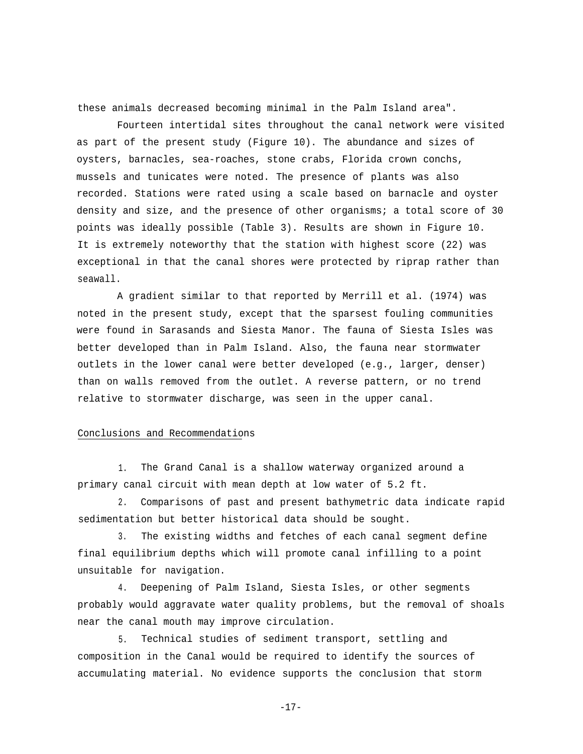these animals decreased becoming minimal in the Palm Island area".

Fourteen intertidal sites throughout the canal network were visited as part of the present study (Figure 10). The abundance and sizes of oysters, barnacles, sea-roaches, stone crabs, Florida crown conchs, mussels and tunicates were noted. The presence of plants was also recorded. Stations were rated using a scale based on barnacle and oyster density and size, and the presence of other organisms; a total score of 30 points was ideally possible (Table 3). Results are shown in Figure 10. It is extremely noteworthy that the station with highest score (22) was exceptional in that the canal shores were protected by riprap rather than seawall.

A gradient similar to that reported by Merrill et al. (1974) was noted in the present study, except that the sparsest fouling communities were found in Sarasands and Siesta Manor. The fauna of Siesta Isles was better developed than in Palm Island. Also, the fauna near stormwater outlets in the lower canal were better developed (e.g., larger, denser) than on walls removed from the outlet. A reverse pattern, or no trend relative to stormwater discharge, was seen in the upper canal.

#### Conclusions and Recommendations

1. The Grand Canal is a shallow waterway organized around a primary canal circuit with mean depth at low water of 5.2 ft.

2. Comparisons of past and present bathymetric data indicate rapid sedimentation but better historical data should be sought.

3. The existing widths and fetches of each canal segment define final equilibrium depths which will promote canal infilling to a point unsuitable for navigation.

4. Deepening of Palm Island, Siesta Isles, or other segments probably would aggravate water quality problems, but the removal of shoals near the canal mouth may improve circulation.

5. Technical studies of sediment transport, settling and composition in the Canal would be required to identify the sources of accumulating material. No evidence supports the conclusion that storm

-17-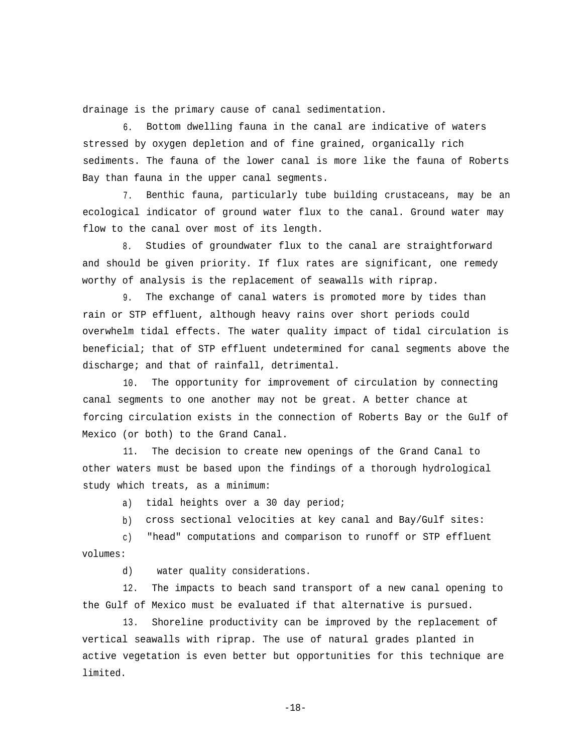drainage is the primary cause of canal sedimentation.

6. Bottom dwelling fauna in the canal are indicative of waters stressed by oxygen depletion and of fine grained, organically rich sediments. The fauna of the lower canal is more like the fauna of Roberts Bay than fauna in the upper canal segments.

7. Benthic fauna, particularly tube building crustaceans, may be an ecological indicator of ground water flux to the canal. Ground water may flow to the canal over most of its length.

8. Studies of groundwater flux to the canal are straightforward and should be given priority. If flux rates are significant, one remedy worthy of analysis is the replacement of seawalls with riprap.

9. The exchange of canal waters is promoted more by tides than rain or STP effluent, although heavy rains over short periods could overwhelm tidal effects. The water quality impact of tidal circulation is beneficial; that of STP effluent undetermined for canal segments above the discharge; and that of rainfall, detrimental.

10. The opportunity for improvement of circulation by connecting canal segments to one another may not be great. A better chance at forcing circulation exists in the connection of Roberts Bay or the Gulf of Mexico (or both) to the Grand Canal.

11. The decision to create new openings of the Grand Canal to other waters must be based upon the findings of a thorough hydrological study which treats, as a minimum:

a) tidal heights over a 30 day period;

b) cross sectional velocities at key canal and Bay/Gulf sites:

c) "head" computations and comparison to runoff or STP effluent volumes:

d) water quality considerations.

12. The impacts to beach sand transport of a new canal opening to the Gulf of Mexico must be evaluated if that alternative is pursued.

13. Shoreline productivity can be improved by the replacement of vertical seawalls with riprap. The use of natural grades planted in active vegetation is even better but opportunities for this technique are limited.

-18-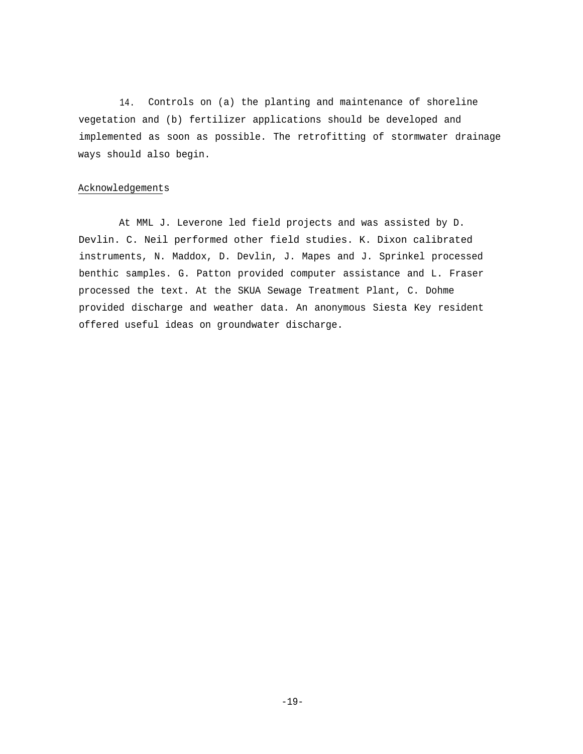14. Controls on (a) the planting and maintenance of shoreline vegetation and (b) fertilizer applications should be developed and implemented as soon as possible. The retrofitting of stormwater drainage ways should also begin.

## Acknowledgements

At MML J. Leverone led field projects and was assisted by D. Devlin. C. Neil performed other field studies. K. Dixon calibrated instruments, N. Maddox, D. Devlin, J. Mapes and J. Sprinkel processed benthic samples. G. Patton provided computer assistance and L. Fraser processed the text. At the SKUA Sewage Treatment Plant, C. Dohme provided discharge and weather data. An anonymous Siesta Key resident offered useful ideas on groundwater discharge.